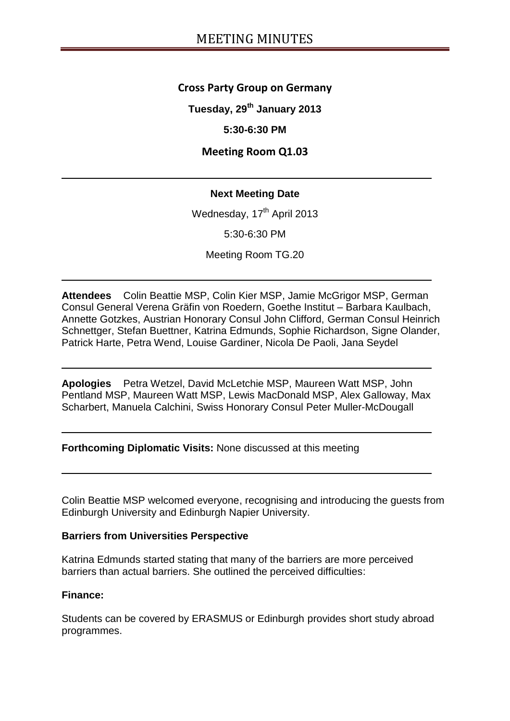## **Cross Party Group on Germany**

**Tuesday, 29th January 2013**

## **5:30-6:30 PM**

# **Meeting Room Q1.03**

## **Next Meeting Date**

Wednesday, 17<sup>th</sup> April 2013

5:30-6:30 PM

Meeting Room TG.20

**Attendees** Colin Beattie MSP, Colin Kier MSP, Jamie McGrigor MSP, German Consul General Verena Gräfin von Roedern, Goethe Institut – Barbara Kaulbach, Annette Gotzkes, Austrian Honorary Consul John Clifford, German Consul Heinrich Schnettger, Stefan Buettner, Katrina Edmunds, Sophie Richardson, Signe Olander, Patrick Harte, Petra Wend, Louise Gardiner, Nicola De Paoli, Jana Seydel

**Apologies** Petra Wetzel, David McLetchie MSP, Maureen Watt MSP, John Pentland MSP, Maureen Watt MSP, Lewis MacDonald MSP, Alex Galloway, Max Scharbert, Manuela Calchini, Swiss Honorary Consul Peter Muller-McDougall

**Forthcoming Diplomatic Visits:** None discussed at this meeting

Colin Beattie MSP welcomed everyone, recognising and introducing the guests from Edinburgh University and Edinburgh Napier University.

## **Barriers from Universities Perspective**

Katrina Edmunds started stating that many of the barriers are more perceived barriers than actual barriers. She outlined the perceived difficulties:

### **Finance:**

Students can be covered by ERASMUS or Edinburgh provides short study abroad programmes.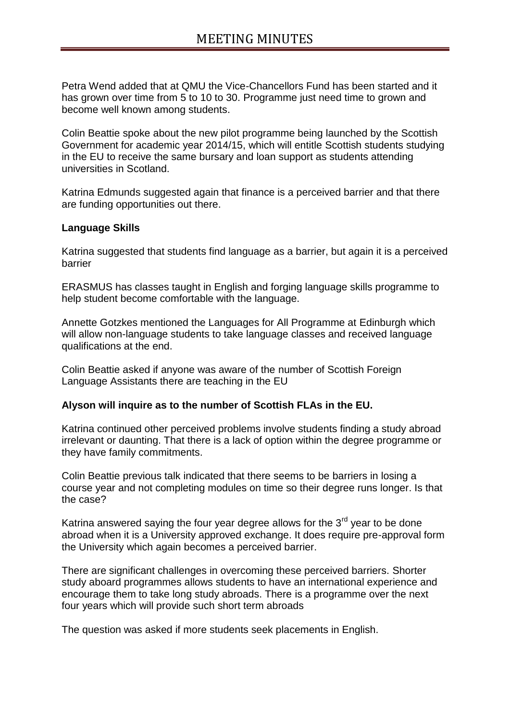Petra Wend added that at QMU the Vice-Chancellors Fund has been started and it has grown over time from 5 to 10 to 30. Programme just need time to grown and become well known among students.

Colin Beattie spoke about the new pilot programme being launched by the Scottish Government for academic year 2014/15, which will entitle Scottish students studying in the EU to receive the same bursary and loan support as students attending universities in Scotland.

Katrina Edmunds suggested again that finance is a perceived barrier and that there are funding opportunities out there.

### **Language Skills**

Katrina suggested that students find language as a barrier, but again it is a perceived barrier

ERASMUS has classes taught in English and forging language skills programme to help student become comfortable with the language.

Annette Gotzkes mentioned the Languages for All Programme at Edinburgh which will allow non-language students to take language classes and received language qualifications at the end.

Colin Beattie asked if anyone was aware of the number of Scottish Foreign Language Assistants there are teaching in the EU

### **Alyson will inquire as to the number of Scottish FLAs in the EU.**

Katrina continued other perceived problems involve students finding a study abroad irrelevant or daunting. That there is a lack of option within the degree programme or they have family commitments.

Colin Beattie previous talk indicated that there seems to be barriers in losing a course year and not completing modules on time so their degree runs longer. Is that the case?

Katrina answered saying the four year degree allows for the  $3<sup>rd</sup>$  year to be done abroad when it is a University approved exchange. It does require pre-approval form the University which again becomes a perceived barrier.

There are significant challenges in overcoming these perceived barriers. Shorter study aboard programmes allows students to have an international experience and encourage them to take long study abroads. There is a programme over the next four years which will provide such short term abroads

The question was asked if more students seek placements in English.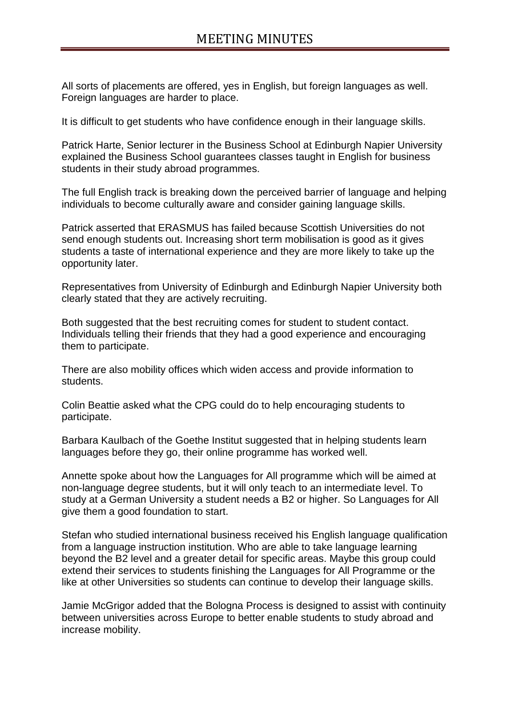All sorts of placements are offered, yes in English, but foreign languages as well. Foreign languages are harder to place.

It is difficult to get students who have confidence enough in their language skills.

Patrick Harte, Senior lecturer in the Business School at Edinburgh Napier University explained the Business School guarantees classes taught in English for business students in their study abroad programmes.

The full English track is breaking down the perceived barrier of language and helping individuals to become culturally aware and consider gaining language skills.

Patrick asserted that ERASMUS has failed because Scottish Universities do not send enough students out. Increasing short term mobilisation is good as it gives students a taste of international experience and they are more likely to take up the opportunity later.

Representatives from University of Edinburgh and Edinburgh Napier University both clearly stated that they are actively recruiting.

Both suggested that the best recruiting comes for student to student contact. Individuals telling their friends that they had a good experience and encouraging them to participate.

There are also mobility offices which widen access and provide information to students.

Colin Beattie asked what the CPG could do to help encouraging students to participate.

Barbara Kaulbach of the Goethe Institut suggested that in helping students learn languages before they go, their online programme has worked well.

Annette spoke about how the Languages for All programme which will be aimed at non-language degree students, but it will only teach to an intermediate level. To study at a German University a student needs a B2 or higher. So Languages for All give them a good foundation to start.

Stefan who studied international business received his English language qualification from a language instruction institution. Who are able to take language learning beyond the B2 level and a greater detail for specific areas. Maybe this group could extend their services to students finishing the Languages for All Programme or the like at other Universities so students can continue to develop their language skills.

Jamie McGrigor added that the Bologna Process is designed to assist with continuity between universities across Europe to better enable students to study abroad and increase mobility.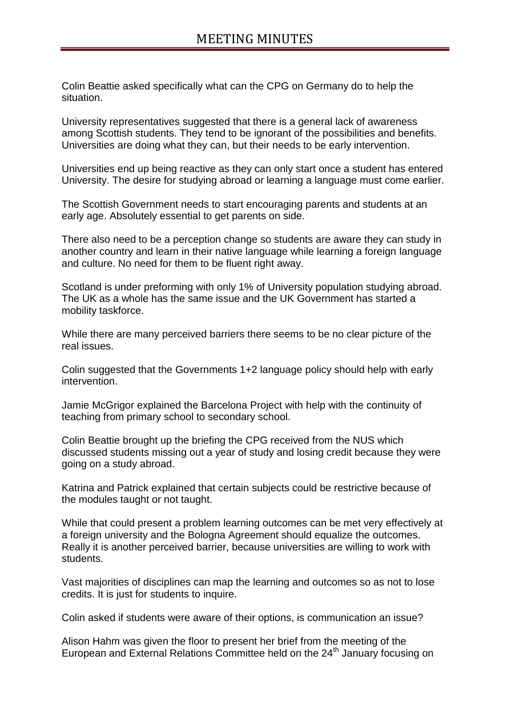Colin Beattie asked specifically what can the CPG on Germany do to help the situation.

University representatives suggested that there is a general lack of awareness among Scottish students. They tend to be ignorant of the possibilities and benefits. Universities are doing what they can, but their needs to be early intervention.

Universities end up being reactive as they can only start once a student has entered University. The desire for studying abroad or learning a language must come earlier.

The Scottish Government needs to start encouraging parents and students at an early age. Absolutely essential to get parents on side.

There also need to be a perception change so students are aware they can study in another country and learn in their native language while learning a foreign language and culture. No need for them to be fluent right away.

Scotland is under preforming with only 1% of University population studying abroad. The UK as a whole has the same issue and the UK Government has started a mobility taskforce.

While there are many perceived barriers there seems to be no clear picture of the real issues.

Colin suggested that the Governments 1+2 language policy should help with early intervention.

Jamie McGrigor explained the Barcelona Project with help with the continuity of teaching from primary school to secondary school.

Colin Beattie brought up the briefing the CPG received from the NUS which discussed students missing out a year of study and losing credit because they were going on a study abroad.

Katrina and Patrick explained that certain subjects could be restrictive because of the modules taught or not taught.

While that could present a problem learning outcomes can be met very effectively at a foreign university and the Bologna Agreement should equalize the outcomes. Really it is another perceived barrier, because universities are willing to work with students.

Vast majorities of disciplines can map the learning and outcomes so as not to lose credits. It is just for students to inquire.

Colin asked if students were aware of their options, is communication an issue?

Alison Hahm was given the floor to present her brief from the meeting of the European and External Relations Committee held on the 24<sup>th</sup> January focusing on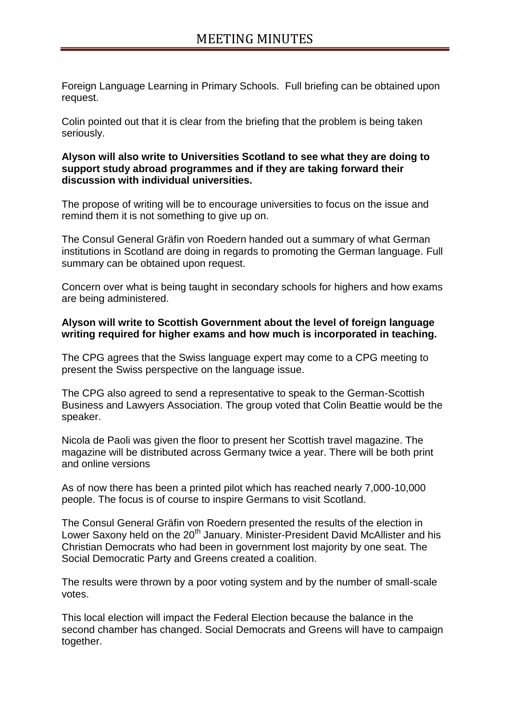Foreign Language Learning in Primary Schools. Full briefing can be obtained upon request.

Colin pointed out that it is clear from the briefing that the problem is being taken seriously.

### **Alyson will also write to Universities Scotland to see what they are doing to support study abroad programmes and if they are taking forward their discussion with individual universities.**

The propose of writing will be to encourage universities to focus on the issue and remind them it is not something to give up on.

The Consul General Gräfin von Roedern handed out a summary of what German institutions in Scotland are doing in regards to promoting the German language. Full summary can be obtained upon request.

Concern over what is being taught in secondary schools for highers and how exams are being administered.

### **Alyson will write to Scottish Government about the level of foreign language writing required for higher exams and how much is incorporated in teaching.**

The CPG agrees that the Swiss language expert may come to a CPG meeting to present the Swiss perspective on the language issue.

The CPG also agreed to send a representative to speak to the German-Scottish Business and Lawyers Association. The group voted that Colin Beattie would be the speaker.

Nicola de Paoli was given the floor to present her Scottish travel magazine. The magazine will be distributed across Germany twice a year. There will be both print and online versions

As of now there has been a printed pilot which has reached nearly 7,000-10,000 people. The focus is of course to inspire Germans to visit Scotland.

The Consul General Gräfin von Roedern presented the results of the election in Lower Saxony held on the 20<sup>th</sup> January. Minister-President David McAllister and his Christian Democrats who had been in government lost majority by one seat. The Social Democratic Party and Greens created a coalition.

The results were thrown by a poor voting system and by the number of small-scale votes.

This local election will impact the Federal Election because the balance in the second chamber has changed. Social Democrats and Greens will have to campaign together.